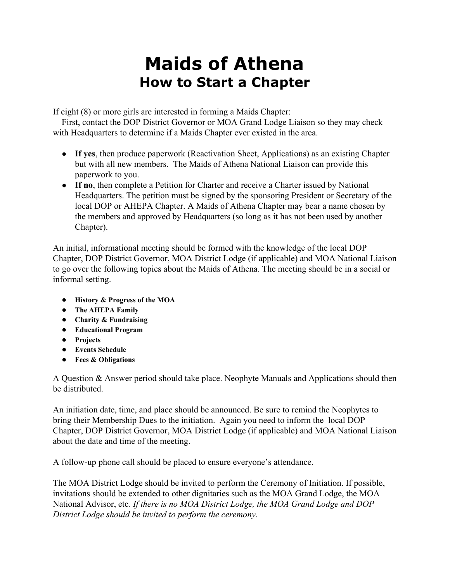## **Maids of Athena How to Start a Chapter**

If eight (8) or more girls are interested in forming a Maids Chapter:

 First, contact the DOP District Governor or MOA Grand Lodge Liaison so they may check with Headquarters to determine if a Maids Chapter ever existed in the area.

- **If yes**, then produce paperwork (Reactivation Sheet, Applications) as an existing Chapter but with all new members. The Maids of Athena National Liaison can provide this paperwork to you.
- **If no**, then complete a Petition for Charter and receive a Charter issued by National Headquarters. The petition must be signed by the sponsoring President or Secretary of the local DOP or AHEPA Chapter. A Maids of Athena Chapter may bear a name chosen by the members and approved by Headquarters (so long as it has not been used by another Chapter).

An initial, informational meeting should be formed with the knowledge of the local DOP Chapter, DOP District Governor, MOA District Lodge (if applicable) and MOA National Liaison to go over the following topics about the Maids of Athena. The meeting should be in a social or informal setting.

- **History & Progress of the MOA**
- **The AHEPA Family**
- **Charity & Fundraising**
- **Educational Program**
- **Projects**
- **Events Schedule**
- **Fees & Obligations**

A Question & Answer period should take place. Neophyte Manuals and Applications should then be distributed.

An initiation date, time, and place should be announced. Be sure to remind the Neophytes to bring their Membership Dues to the initiation. Again you need to inform the local DOP Chapter, DOP District Governor, MOA District Lodge (if applicable) and MOA National Liaison about the date and time of the meeting.

A follow-up phone call should be placed to ensure everyone's attendance.

The MOA District Lodge should be invited to perform the Ceremony of Initiation. If possible, invitations should be extended to other dignitaries such as the MOA Grand Lodge, the MOA National Advisor, etc*. If there is no MOA District Lodge, the MOA Grand Lodge and DOP District Lodge should be invited to perform the ceremony.*